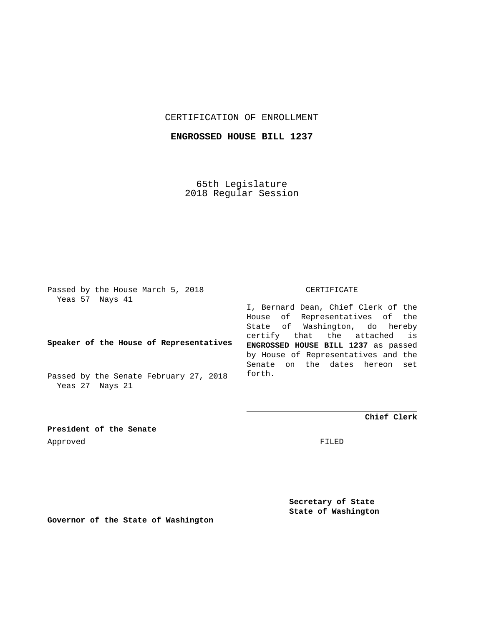# CERTIFICATION OF ENROLLMENT

## **ENGROSSED HOUSE BILL 1237**

65th Legislature 2018 Regular Session

Passed by the House March 5, 2018 Yeas 57 Nays 41

# **Speaker of the House of Representatives**

Passed by the Senate February 27, 2018 Yeas 27 Nays 21

#### CERTIFICATE

I, Bernard Dean, Chief Clerk of the House of Representatives of the State of Washington, do hereby certify that the attached is **ENGROSSED HOUSE BILL 1237** as passed by House of Representatives and the Senate on the dates hereon set forth.

**Chief Clerk**

**President of the Senate** Approved FILED

> **Secretary of State State of Washington**

**Governor of the State of Washington**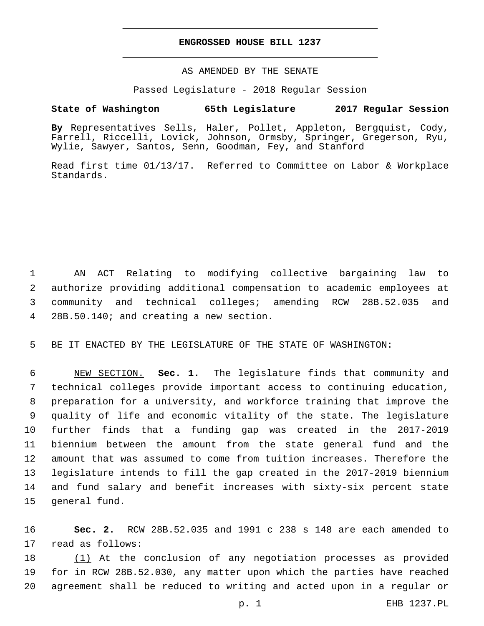### **ENGROSSED HOUSE BILL 1237**

## AS AMENDED BY THE SENATE

Passed Legislature - 2018 Regular Session

# **State of Washington 65th Legislature 2017 Regular Session**

**By** Representatives Sells, Haler, Pollet, Appleton, Bergquist, Cody, Farrell, Riccelli, Lovick, Johnson, Ormsby, Springer, Gregerson, Ryu, Wylie, Sawyer, Santos, Senn, Goodman, Fey, and Stanford

Read first time 01/13/17. Referred to Committee on Labor & Workplace Standards.

 AN ACT Relating to modifying collective bargaining law to authorize providing additional compensation to academic employees at community and technical colleges; amending RCW 28B.52.035 and 28B.50.140; and creating a new section.4

5 BE IT ENACTED BY THE LEGISLATURE OF THE STATE OF WASHINGTON:

 NEW SECTION. **Sec. 1.** The legislature finds that community and technical colleges provide important access to continuing education, preparation for a university, and workforce training that improve the quality of life and economic vitality of the state. The legislature further finds that a funding gap was created in the 2017-2019 biennium between the amount from the state general fund and the amount that was assumed to come from tuition increases. Therefore the legislature intends to fill the gap created in the 2017-2019 biennium and fund salary and benefit increases with sixty-six percent state general fund.

16 **Sec. 2.** RCW 28B.52.035 and 1991 c 238 s 148 are each amended to 17 read as follows:

18 (1) At the conclusion of any negotiation processes as provided 19 for in RCW 28B.52.030, any matter upon which the parties have reached 20 agreement shall be reduced to writing and acted upon in a regular or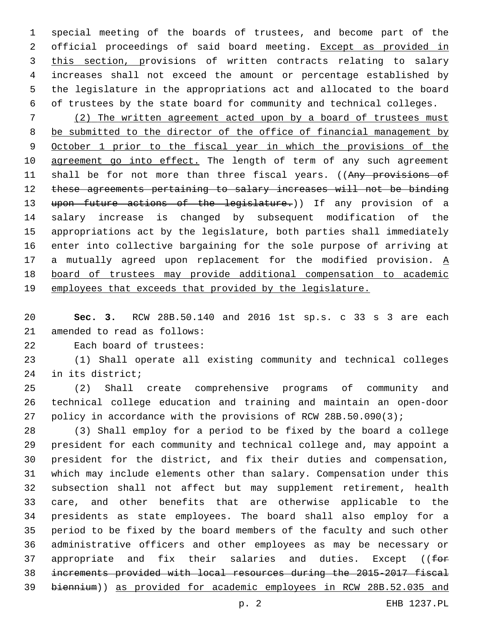special meeting of the boards of trustees, and become part of the 2 official proceedings of said board meeting. Except as provided in 3 this section, provisions of written contracts relating to salary increases shall not exceed the amount or percentage established by the legislature in the appropriations act and allocated to the board of trustees by the state board for community and technical colleges.

 (2) The written agreement acted upon by a board of trustees must be submitted to the director of the office of financial management by October 1 prior to the fiscal year in which the provisions of the 10 agreement go into effect. The length of term of any such agreement 11 shall be for not more than three fiscal years. ((Any provisions of these agreements pertaining to salary increases will not be binding 13 upon future actions of the legislature.)) If any provision of a salary increase is changed by subsequent modification of the appropriations act by the legislature, both parties shall immediately enter into collective bargaining for the sole purpose of arriving at 17 a mutually agreed upon replacement for the modified provision.  $\underline{A}$  board of trustees may provide additional compensation to academic employees that exceeds that provided by the legislature.

 **Sec. 3.** RCW 28B.50.140 and 2016 1st sp.s. c 33 s 3 are each 21 amended to read as follows:

22 Each board of trustees:

 (1) Shall operate all existing community and technical colleges 24 in its district;

 (2) Shall create comprehensive programs of community and technical college education and training and maintain an open-door policy in accordance with the provisions of RCW 28B.50.090(3);

 (3) Shall employ for a period to be fixed by the board a college president for each community and technical college and, may appoint a president for the district, and fix their duties and compensation, which may include elements other than salary. Compensation under this subsection shall not affect but may supplement retirement, health care, and other benefits that are otherwise applicable to the presidents as state employees. The board shall also employ for a period to be fixed by the board members of the faculty and such other administrative officers and other employees as may be necessary or 37 appropriate and fix their salaries and duties. Except ( $f \leftrightarrow f$  increments provided with local resources during the 2015-2017 fiscal biennium)) as provided for academic employees in RCW 28B.52.035 and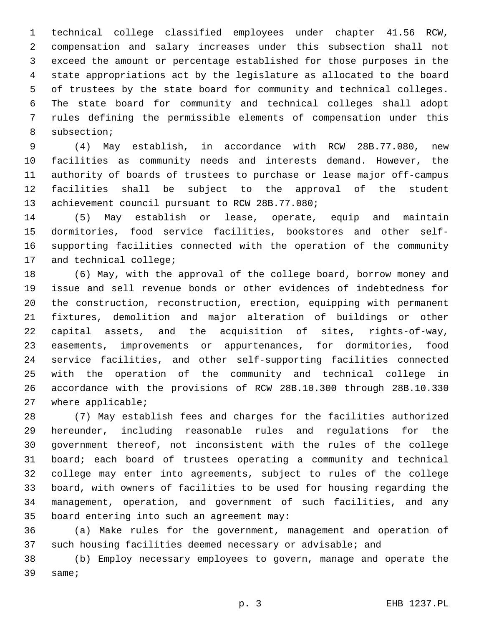technical college classified employees under chapter 41.56 RCW, compensation and salary increases under this subsection shall not exceed the amount or percentage established for those purposes in the state appropriations act by the legislature as allocated to the board of trustees by the state board for community and technical colleges. The state board for community and technical colleges shall adopt rules defining the permissible elements of compensation under this 8 subsection;

 (4) May establish, in accordance with RCW 28B.77.080, new facilities as community needs and interests demand. However, the authority of boards of trustees to purchase or lease major off-campus facilities shall be subject to the approval of the student 13 achievement council pursuant to RCW 28B.77.080;

 (5) May establish or lease, operate, equip and maintain dormitories, food service facilities, bookstores and other self- supporting facilities connected with the operation of the community 17 and technical college;

 (6) May, with the approval of the college board, borrow money and issue and sell revenue bonds or other evidences of indebtedness for the construction, reconstruction, erection, equipping with permanent fixtures, demolition and major alteration of buildings or other capital assets, and the acquisition of sites, rights-of-way, easements, improvements or appurtenances, for dormitories, food service facilities, and other self-supporting facilities connected with the operation of the community and technical college in accordance with the provisions of RCW 28B.10.300 through 28B.10.330 27 where applicable;

 (7) May establish fees and charges for the facilities authorized hereunder, including reasonable rules and regulations for the government thereof, not inconsistent with the rules of the college board; each board of trustees operating a community and technical college may enter into agreements, subject to rules of the college board, with owners of facilities to be used for housing regarding the management, operation, and government of such facilities, and any 35 board entering into such an agreement may:

 (a) Make rules for the government, management and operation of such housing facilities deemed necessary or advisable; and

 (b) Employ necessary employees to govern, manage and operate the 39 same;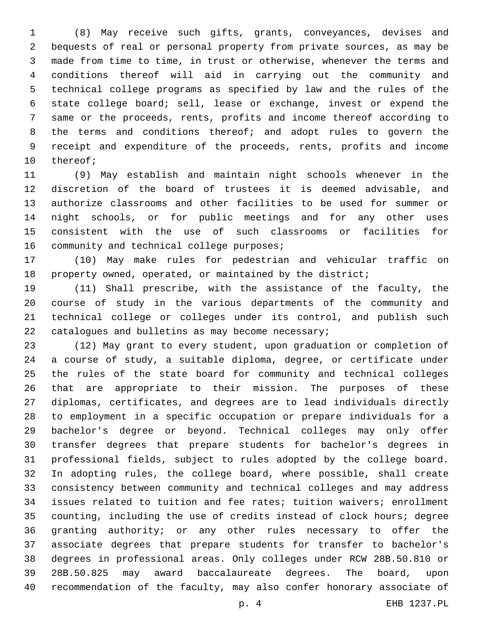(8) May receive such gifts, grants, conveyances, devises and bequests of real or personal property from private sources, as may be made from time to time, in trust or otherwise, whenever the terms and conditions thereof will aid in carrying out the community and technical college programs as specified by law and the rules of the state college board; sell, lease or exchange, invest or expend the same or the proceeds, rents, profits and income thereof according to the terms and conditions thereof; and adopt rules to govern the receipt and expenditure of the proceeds, rents, profits and income 10 thereof;

 (9) May establish and maintain night schools whenever in the discretion of the board of trustees it is deemed advisable, and authorize classrooms and other facilities to be used for summer or night schools, or for public meetings and for any other uses consistent with the use of such classrooms or facilities for 16 community and technical college purposes;

 (10) May make rules for pedestrian and vehicular traffic on property owned, operated, or maintained by the district;

 (11) Shall prescribe, with the assistance of the faculty, the course of study in the various departments of the community and technical college or colleges under its control, and publish such 22 catalogues and bulletins as may become necessary;

 (12) May grant to every student, upon graduation or completion of a course of study, a suitable diploma, degree, or certificate under the rules of the state board for community and technical colleges that are appropriate to their mission. The purposes of these diplomas, certificates, and degrees are to lead individuals directly to employment in a specific occupation or prepare individuals for a bachelor's degree or beyond. Technical colleges may only offer transfer degrees that prepare students for bachelor's degrees in professional fields, subject to rules adopted by the college board. In adopting rules, the college board, where possible, shall create consistency between community and technical colleges and may address issues related to tuition and fee rates; tuition waivers; enrollment counting, including the use of credits instead of clock hours; degree granting authority; or any other rules necessary to offer the associate degrees that prepare students for transfer to bachelor's degrees in professional areas. Only colleges under RCW 28B.50.810 or 28B.50.825 may award baccalaureate degrees. The board, upon recommendation of the faculty, may also confer honorary associate of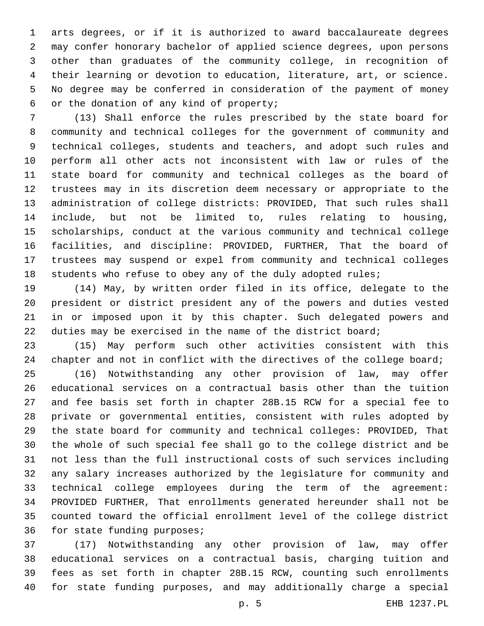arts degrees, or if it is authorized to award baccalaureate degrees may confer honorary bachelor of applied science degrees, upon persons other than graduates of the community college, in recognition of their learning or devotion to education, literature, art, or science. No degree may be conferred in consideration of the payment of money 6 or the donation of any kind of property;

 (13) Shall enforce the rules prescribed by the state board for community and technical colleges for the government of community and technical colleges, students and teachers, and adopt such rules and perform all other acts not inconsistent with law or rules of the state board for community and technical colleges as the board of trustees may in its discretion deem necessary or appropriate to the administration of college districts: PROVIDED, That such rules shall include, but not be limited to, rules relating to housing, scholarships, conduct at the various community and technical college facilities, and discipline: PROVIDED, FURTHER, That the board of trustees may suspend or expel from community and technical colleges 18 students who refuse to obey any of the duly adopted rules;

 (14) May, by written order filed in its office, delegate to the president or district president any of the powers and duties vested in or imposed upon it by this chapter. Such delegated powers and 22 duties may be exercised in the name of the district board;

 (15) May perform such other activities consistent with this 24 chapter and not in conflict with the directives of the college board;

 (16) Notwithstanding any other provision of law, may offer educational services on a contractual basis other than the tuition and fee basis set forth in chapter 28B.15 RCW for a special fee to private or governmental entities, consistent with rules adopted by the state board for community and technical colleges: PROVIDED, That the whole of such special fee shall go to the college district and be not less than the full instructional costs of such services including any salary increases authorized by the legislature for community and technical college employees during the term of the agreement: PROVIDED FURTHER, That enrollments generated hereunder shall not be counted toward the official enrollment level of the college district 36 for state funding purposes;

 (17) Notwithstanding any other provision of law, may offer educational services on a contractual basis, charging tuition and fees as set forth in chapter 28B.15 RCW, counting such enrollments for state funding purposes, and may additionally charge a special